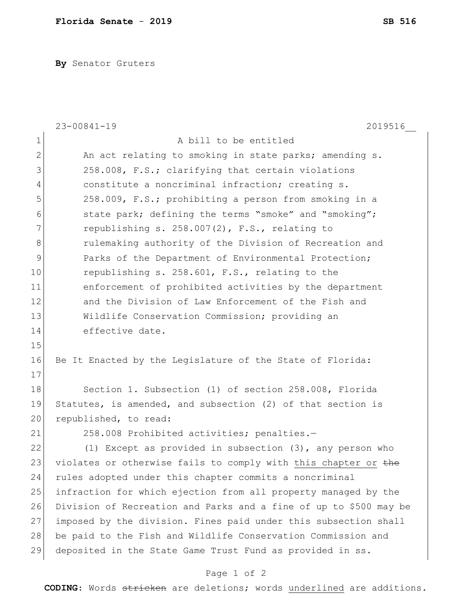**By** Senator Gruters

|                | $23 - 00841 - 19$<br>2019516                                      |
|----------------|-------------------------------------------------------------------|
| 1              | A bill to be entitled                                             |
| $\overline{2}$ | An act relating to smoking in state parks; amending s.            |
| 3              | 258.008, F.S.; clarifying that certain violations                 |
| $\overline{4}$ | constitute a noncriminal infraction; creating s.                  |
| 5              | 258.009, F.S.; prohibiting a person from smoking in a             |
| 6              | state park; defining the terms "smoke" and "smoking";             |
| 7              | republishing s. 258.007(2), F.S., relating to                     |
| 8              | rulemaking authority of the Division of Recreation and            |
| $\mathsf 9$    | Parks of the Department of Environmental Protection;              |
| 10             | republishing s. 258.601, F.S., relating to the                    |
| 11             | enforcement of prohibited activities by the department            |
| 12             | and the Division of Law Enforcement of the Fish and               |
| 13             | Wildlife Conservation Commission; providing an                    |
| 14             | effective date.                                                   |
| 15             |                                                                   |
| 16             | Be It Enacted by the Legislature of the State of Florida:         |
| 17             |                                                                   |
| 18             | Section 1. Subsection (1) of section 258.008, Florida             |
| 19             | Statutes, is amended, and subsection (2) of that section is       |
| 20             | republished, to read:                                             |
| 21             | 258.008 Prohibited activities; penalties.-                        |
| 22             | (1) Except as provided in subsection $(3)$ , any person who       |
| 23             | violates or otherwise fails to comply with this chapter or the    |
| 24             | rules adopted under this chapter commits a noncriminal            |
| 25             | infraction for which ejection from all property managed by the    |
| 26             | Division of Recreation and Parks and a fine of up to \$500 may be |
| 27             | imposed by the division. Fines paid under this subsection shall   |
| 28             | be paid to the Fish and Wildlife Conservation Commission and      |
| 29             | deposited in the State Game Trust Fund as provided in ss.         |
|                |                                                                   |

Page 1 of 2

**CODING**: Words stricken are deletions; words underlined are additions.